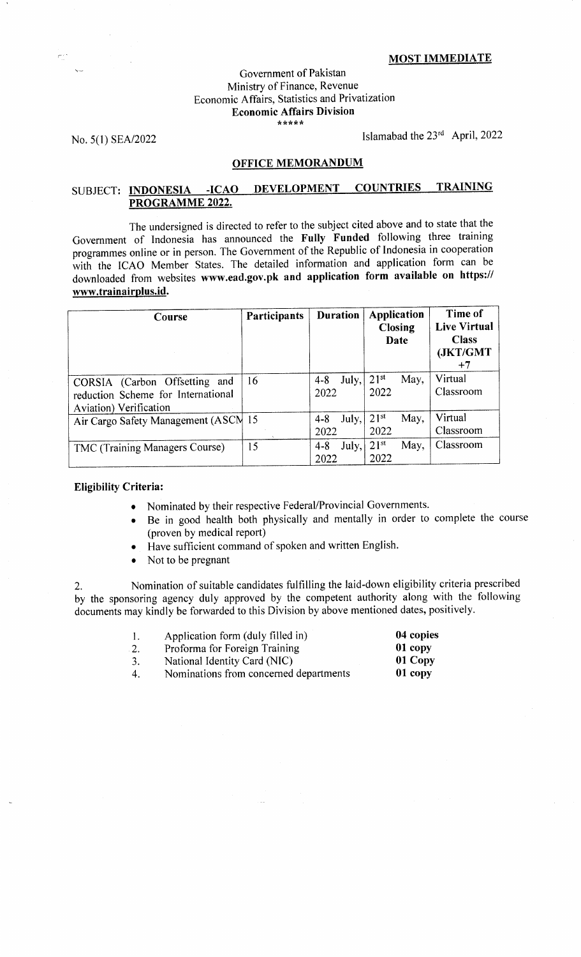#### MOST IMMEDIATE

#### Government of Pakistan Ministry of Finance, Revenue Economic Affairs, Statistics and Privatization Economic Affairs Division ,r\*\*rrrr

No. 5(1) SEA/2022 lslamabad the 23<sup>rd</sup> April, 2022

## OFFICE MEMORANDUM

# SUBJECT: INDONESIA -ICAO DEVELOPMENT COUNTRIES TRAINING PROGRAMME 2022.

The undersigned is directed to refer to the subject cited above and to state that the Government of Indonesia has announced the Fully Funded following three training programmes online or in person. The Government of the Republic of Indonesia in cooperation with the ICAO Member States. The detailed information and application form can be downloaded from websites www.ead.gov.pk and application form available on https:// www.trainairplus.id.

| Course                                                                                        | Participants | <b>Duration</b>          | <b>Application</b><br><b>Closing</b><br>Date | Time of<br><b>Live Virtual</b><br><b>Class</b><br>(JKT/GMT<br>$+7$ |
|-----------------------------------------------------------------------------------------------|--------------|--------------------------|----------------------------------------------|--------------------------------------------------------------------|
| CORSIA (Carbon Offsetting and<br>reduction Scheme for International<br>Aviation) Verification | 16           | July,<br>$4 - 8$<br>2022 | $21^{st}$<br>May,<br>2022                    | Virtual<br>Classroom                                               |
| Air Cargo Safety Management (ASCN 15                                                          |              | July,<br>$4 - 8$<br>2022 | $21^{st}$<br>May,<br>2022                    | Virtual<br>Classroom                                               |
| TMC (Training Managers Course)                                                                | 15           | July,<br>$4 - 8$<br>2022 | $21^{st}$<br>May,<br>2022                    | Classroom                                                          |

## Eligibility Criteria:

- o Nominated by their respective Federal/Provincial Governments.
- Be in good health both physically and mentally in order to complete the course (proven by medical report)
- Have sufficient command of spoken and written English.
- Not to be pregnant

Z. Nomination of suitable candidates fulfilling the laid-down eligibility criteria prescribed by the sponsoring agency duly approved by the competent authority along with the following documents may kindly be forwarded to this Division by above mentioned dates, positively.

| $\mathbf{1}$ . | Application form (duly filled in)      | 04 copies |
|----------------|----------------------------------------|-----------|
| 2.             | Proforma for Foreign Training          | 01 copy   |
| 3.             | National Identity Card (NIC)           | 01 Copy   |
| 4.             | Nominations from concerned departments | 01 copy   |